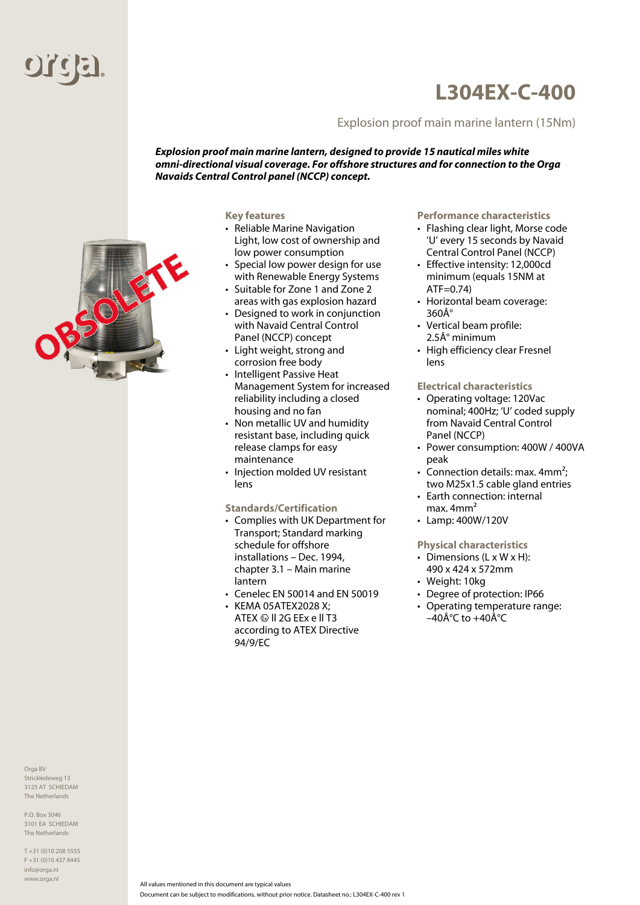

## **L304EX-C-400**

## Explosion proof main marine lantern (15Nm)

*Explosion proof main marine lantern, designed to provide 15 nautical miles white omni-directional visual coverage. For offshore structures and for connection to the Orga Navaids Central Control panel (NCCP) concept.*

**Key features**

- Reliable Marine Navigation Light, low cost of ownership and low power consumption
- Special low power design for use with Renewable Energy Systems
- Suitable for Zone 1 and Zone 2 areas with gas explosion hazard
- Designed to work in conjunction with Navaid Central Control Panel (NCCP) concept
- Light weight, strong and corrosion free body
- Intelligent Passive Heat Management System for increased reliability including a closed housing and no fan
- Non metallic UV and humidity resistant base, including quick release clamps for easy maintenance
- Injection molded UV resistant lens

**Standards/Certification**

- Complies with UK Department for Transport; Standard marking schedule for offshore installations – Dec. 1994, chapter 3.1 – Main marine lantern
- Cenelec EN 50014 and EN 50019
- KEMA 05ATEX2028 X; ATEX  $\textcircled{\tiny{\text{W}}}$  II 2G EEx e II T3 according to ATEX Directive 94/9/EC

**Performance characteristics**

- Flashing clear light, Morse code 'U' every 15 seconds by Navaid Central Control Panel (NCCP)
- Effective intensity: 12,000cd minimum (equals 15NM at ATF=0.74)
- Horizontal beam coverage: 360°
- Vertical beam profile:  $2.5\text{\AA}^\circ$  minimum
- High efficiency clear Fresnel lens

**Electrical characteristics**

- Operating voltage: 120Vac nominal; 400Hz; 'U' coded supply from Navaid Central Control Panel (NCCP)
- Power consumption: 400W / 400VA peak
- Connection details: max.  $4mm^2$ ; two M25x1.5 cable gland entries
- Earth connection: internal max. 4mm²
- Lamp: 400W/120V

**Physical characteristics**

- Dimensions (L x W x H): 490 x 424 x 572mm
- Weight: 10kg
- Degree of protection: IP66
- Operating temperature range: –40 $\hat{A}^{\circ}C$  to +40 $\hat{A}^{\circ}C$

Orga BV Strickledeweg 13 3125 AT SCHIEDAM The Netherlands

The Netherlands

T +31 (0)10 208 5555 F +31 (0)10 437 8445 info@orga.nl www.orga.nl

P.O. Box 3046 3101 EA SCHIEDAM